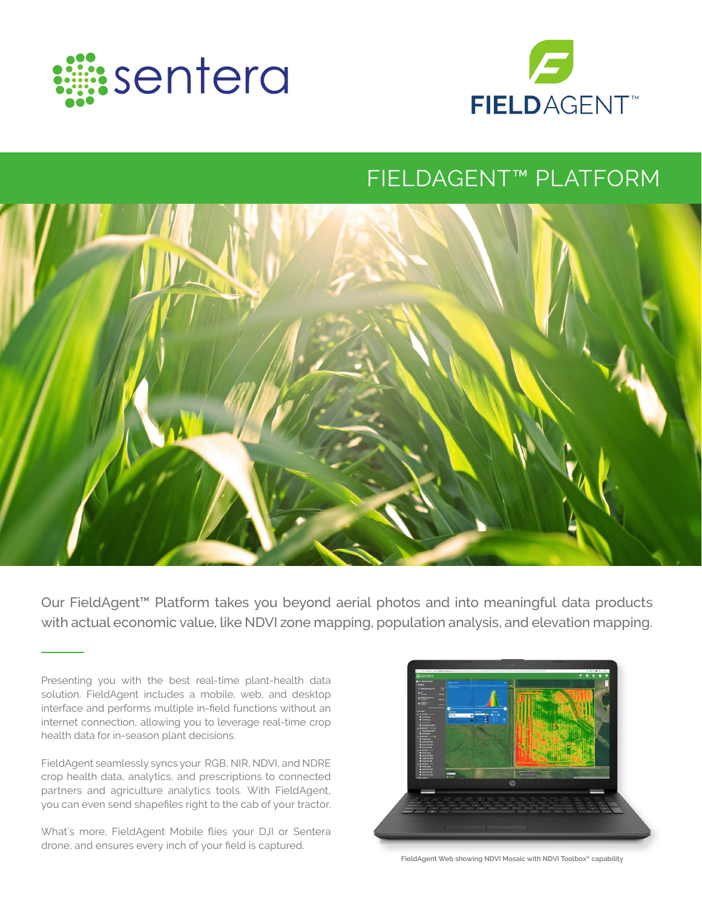



# FIELDAGENT™ PLATFORM



Our FieldAgent™ Platform takes you beyond aerial photos and into meaningful data products with actual economic value, like NDVI zone mapping, population analysis, and elevation mapping.

FieldAgent seamlessly syncs your RGB, NIR, NDVI, and NDRE crop health data, analytics, and prescriptions to connected partners and agriculture analytics tools. With FieldAgent, you can even send shapefiles right to the cab of your tractor.

What's more, FieldAgent Mobile flies your DJI or Sentera drone, and ensures every inch of your field is captured.



**FieldAgent Web showing NDVI Mosaic with NDVI Toolbox® capability**

Presenting you with the best real-time plant-health data solution. FieldAgent includes a mobile, web, and desktop interface and performs multiple in-field functions without an internet connection, allowing you to leverage real-time crop health data for in-season plant decisions.